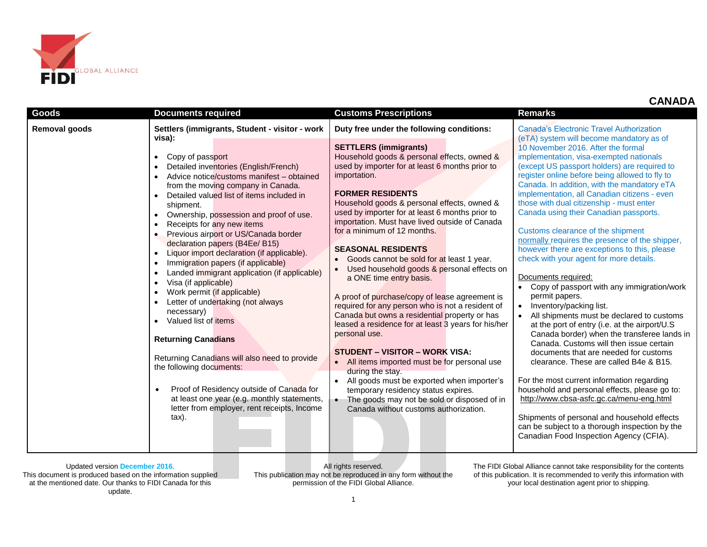

|  |  | <b>CANADA</b> |
|--|--|---------------|
|--|--|---------------|

| Goods         | <b>Documents required</b>                                                                                                                                                                                                                                                                                                                                                                                                                                                                                                                                                                                                                                                                                                                                                                                                                                                                                                                                                                                                                              | <b>Customs Prescriptions</b>                                                                                                                                                                                                                                                                                                                                                                                                                                                                                                                                                                                                                                                                                                                                                                                                                                                                                                                                                                                                              | <b>Remarks</b>                                                                                                                                                                                                                                                                                                                                                                                                                                                                                                                                                                                                                                                                                                                                                                                                                                                                                                                                                                                                                                                                                                                                                                                                                                                                         |
|---------------|--------------------------------------------------------------------------------------------------------------------------------------------------------------------------------------------------------------------------------------------------------------------------------------------------------------------------------------------------------------------------------------------------------------------------------------------------------------------------------------------------------------------------------------------------------------------------------------------------------------------------------------------------------------------------------------------------------------------------------------------------------------------------------------------------------------------------------------------------------------------------------------------------------------------------------------------------------------------------------------------------------------------------------------------------------|-------------------------------------------------------------------------------------------------------------------------------------------------------------------------------------------------------------------------------------------------------------------------------------------------------------------------------------------------------------------------------------------------------------------------------------------------------------------------------------------------------------------------------------------------------------------------------------------------------------------------------------------------------------------------------------------------------------------------------------------------------------------------------------------------------------------------------------------------------------------------------------------------------------------------------------------------------------------------------------------------------------------------------------------|----------------------------------------------------------------------------------------------------------------------------------------------------------------------------------------------------------------------------------------------------------------------------------------------------------------------------------------------------------------------------------------------------------------------------------------------------------------------------------------------------------------------------------------------------------------------------------------------------------------------------------------------------------------------------------------------------------------------------------------------------------------------------------------------------------------------------------------------------------------------------------------------------------------------------------------------------------------------------------------------------------------------------------------------------------------------------------------------------------------------------------------------------------------------------------------------------------------------------------------------------------------------------------------|
| Removal goods | Settlers (immigrants, Student - visitor - work                                                                                                                                                                                                                                                                                                                                                                                                                                                                                                                                                                                                                                                                                                                                                                                                                                                                                                                                                                                                         | Duty free under the following conditions:                                                                                                                                                                                                                                                                                                                                                                                                                                                                                                                                                                                                                                                                                                                                                                                                                                                                                                                                                                                                 | Canada's Electronic Travel Authorization                                                                                                                                                                                                                                                                                                                                                                                                                                                                                                                                                                                                                                                                                                                                                                                                                                                                                                                                                                                                                                                                                                                                                                                                                                               |
|               | visa):<br>Copy of passport<br>$\bullet$<br>Detailed inventories (English/French)<br>$\bullet$<br>Advice notice/customs manifest - obtained<br>$\bullet$<br>from the moving company in Canada.<br>Detailed valued list of items included in<br>$\bullet$<br>shipment.<br>Ownership, possession and proof of use.<br>$\bullet$<br>Receipts for any new items<br>$\bullet$<br>Previous airport or US/Canada border<br>declaration papers (B4Ee/ B15)<br>Liquor import declaration (if applicable).<br>$\bullet$<br>Immigration papers (if applicable)<br>$\bullet$<br>Landed immigrant application (if applicable)<br>$\bullet$<br>Visa (if applicable)<br>$\bullet$<br>Work permit (if applicable)<br>Letter of undertaking (not always<br>necessary)<br>Valued list of items<br>$\bullet$<br><b>Returning Canadians</b><br>Returning Canadians will also need to provide<br>the following documents:<br>Proof of Residency outside of Canada for<br>at least one year (e.g. monthly statements,<br>letter from employer, rent receipts, Income<br>tax). | <b>SETTLERS (immigrants)</b><br>Household goods & personal effects, owned &<br>used by importer for at least 6 months prior to<br>importation.<br><b>FORMER RESIDENTS</b><br>Household goods & personal effects, owned &<br>used by importer for at least 6 months prior to<br>importation. Must have lived outside of Canada<br>for a minimum of 12 months.<br><b>SEASONAL RESIDENTS</b><br>Goods cannot be sold for at least 1 year.<br>Used household goods & personal effects on<br>a ONE time entry basis.<br>A proof of purchase/copy of lease agreement is<br>required for any person who is not a resident of<br>Canada but owns a residential property or has<br>leased a residence for at least 3 years for his/her<br>personal use.<br><b>STUDENT – VISITOR – WORK VISA:</b><br>• All items imported must be for personal use<br>during the stay.<br>All goods must be exported when importer's<br>temporary residency status expires.<br>The goods may not be sold or disposed of in<br>Canada without customs authorization. | (eTA) system will become mandatory as of<br>10 November 2016. After the formal<br>implementation, visa-exempted nationals<br>(except US passport holders) are required to<br>register online before being allowed to fly to<br>Canada. In addition, with the mandatory eTA<br>implementation, all Canadian citizens - even<br>those with dual citizenship - must enter<br>Canada using their Canadian passports.<br>Customs clearance of the shipment<br>normally requires the presence of the shipper,<br>however there are exceptions to this, please<br>check with your agent for more details.<br>Documents required:<br>Copy of passport with any immigration/work<br>permit papers.<br>Inventory/packing list.<br>All shipments must be declared to customs<br>at the port of entry (i.e. at the airport/U.S<br>Canada border) when the transferee lands in<br>Canada, Customs will then issue certain<br>documents that are needed for customs<br>clearance. These are called B4e & B15.<br>For the most current information regarding<br>household and personal effects, please go to:<br>http://www.cbsa-asfc.gc.ca/menu-eng.html<br>Shipments of personal and household effects<br>can be subject to a thorough inspection by the<br>Canadian Food Inspection Agency (CFIA). |

This document is produced based on the information supplied at the mentioned date. Our thanks to FIDI Canada for this update.

All rights reserved. This publication may not be reproduced in any form without the permission of the FIDI Global Alliance.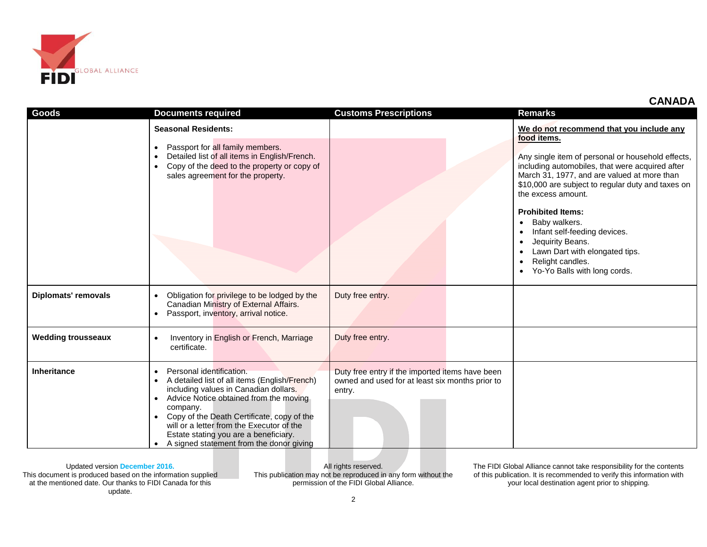

| <b>CANADA</b> |
|---------------|
|---------------|

| <b>Goods</b>               | <b>Documents required</b>                                                                                                                                                                                                                                                                                                                                                          | <b>Customs Prescriptions</b>                                                                                 | <b>Remarks</b>                                                                                                                                                                                                                                                                                                                                                                                                                                                 |
|----------------------------|------------------------------------------------------------------------------------------------------------------------------------------------------------------------------------------------------------------------------------------------------------------------------------------------------------------------------------------------------------------------------------|--------------------------------------------------------------------------------------------------------------|----------------------------------------------------------------------------------------------------------------------------------------------------------------------------------------------------------------------------------------------------------------------------------------------------------------------------------------------------------------------------------------------------------------------------------------------------------------|
|                            | <b>Seasonal Residents:</b>                                                                                                                                                                                                                                                                                                                                                         |                                                                                                              | We do not recommend that you include any                                                                                                                                                                                                                                                                                                                                                                                                                       |
|                            | Passport for all family members.<br>$\bullet$<br>Detailed list of all items in English/French.<br>Copy of the deed to the property or copy of<br>$\bullet$<br>sales agreement for the property.                                                                                                                                                                                    |                                                                                                              | food items.<br>Any single item of personal or household effects,<br>including automobiles, that were acquired after<br>March 31, 1977, and are valued at more than<br>\$10,000 are subject to regular duty and taxes on<br>the excess amount.<br><b>Prohibited Items:</b><br>Baby walkers.<br>$\bullet$<br>Infant self-feeding devices.<br>$\bullet$<br>Jequirity Beans.<br>Lawn Dart with elongated tips.<br>Relight candles.<br>Yo-Yo Balls with long cords. |
| <b>Diplomats' removals</b> | Obligation for privilege to be lodged by the<br>Canadian Ministry of External Affairs.<br>Passport, inventory, arrival notice.                                                                                                                                                                                                                                                     | Duty free entry.                                                                                             |                                                                                                                                                                                                                                                                                                                                                                                                                                                                |
| <b>Wedding trousseaux</b>  | Inventory in English or French, Marriage<br>certificate.                                                                                                                                                                                                                                                                                                                           | Duty free entry.                                                                                             |                                                                                                                                                                                                                                                                                                                                                                                                                                                                |
| Inheritance                | Personal identification.<br>$\bullet$<br>A detailed list of all items (English/French)<br>$\bullet$<br>including values in Canadian dollars.<br>Advice Notice obtained from the moving<br>company.<br>Copy of the Death Certificate, copy of the<br>will or a letter from the Executor of the<br>Estate stating you are a beneficiary.<br>A signed statement from the donor giving | Duty free entry if the imported items have been<br>owned and used for at least six months prior to<br>entry. |                                                                                                                                                                                                                                                                                                                                                                                                                                                                |

This document is produced based on the information supplied at the mentioned date. Our thanks to FIDI Canada for this update.

All rights reserved. This publication may not be reproduced in any form without the permission of the FIDI Global Alliance.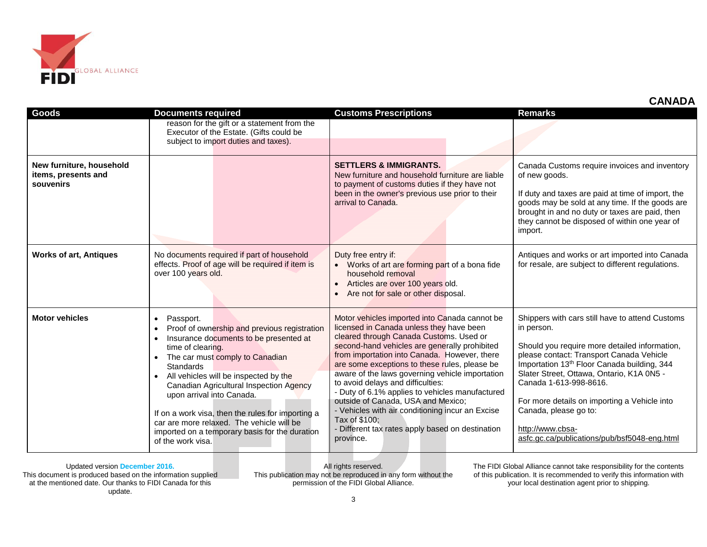

| השמות                                                        |                                                                                                                                                                                                                                                                                                                                                                                                                                                                                                           |                                                                                                                                                                                                                                                                                                                                                                                                                                                                                                                                                                                                               |                                                                                                                                                                                                                                                                                                                                                                                                                                           |
|--------------------------------------------------------------|-----------------------------------------------------------------------------------------------------------------------------------------------------------------------------------------------------------------------------------------------------------------------------------------------------------------------------------------------------------------------------------------------------------------------------------------------------------------------------------------------------------|---------------------------------------------------------------------------------------------------------------------------------------------------------------------------------------------------------------------------------------------------------------------------------------------------------------------------------------------------------------------------------------------------------------------------------------------------------------------------------------------------------------------------------------------------------------------------------------------------------------|-------------------------------------------------------------------------------------------------------------------------------------------------------------------------------------------------------------------------------------------------------------------------------------------------------------------------------------------------------------------------------------------------------------------------------------------|
| <b>Goods</b>                                                 | <b>Documents required</b>                                                                                                                                                                                                                                                                                                                                                                                                                                                                                 | <b>Customs Prescriptions</b>                                                                                                                                                                                                                                                                                                                                                                                                                                                                                                                                                                                  | <b>Remarks</b>                                                                                                                                                                                                                                                                                                                                                                                                                            |
|                                                              | reason for the gift or a statement from the<br>Executor of the Estate. (Gifts could be<br>subject to import duties and taxes).                                                                                                                                                                                                                                                                                                                                                                            |                                                                                                                                                                                                                                                                                                                                                                                                                                                                                                                                                                                                               |                                                                                                                                                                                                                                                                                                                                                                                                                                           |
| New furniture, household<br>items, presents and<br>souvenirs |                                                                                                                                                                                                                                                                                                                                                                                                                                                                                                           | <b>SETTLERS &amp; IMMIGRANTS.</b><br>New furniture and household furniture are liable<br>to payment of customs duties if they have not<br>been in the owner's previous use prior to their<br>arrival to Canada.                                                                                                                                                                                                                                                                                                                                                                                               | Canada Customs require invoices and inventory<br>of new goods.<br>If duty and taxes are paid at time of import, the<br>goods may be sold at any time. If the goods are<br>brought in and no duty or taxes are paid, then<br>they cannot be disposed of within one year of<br>import.                                                                                                                                                      |
| <b>Works of art, Antiques</b>                                | No documents required if part of household<br>effects. Proof of age will be required if item is<br>over 100 years old.                                                                                                                                                                                                                                                                                                                                                                                    | Duty free entry if:<br>• Works of art are forming part of a bona fide<br>household removal<br>Articles are over 100 years old.<br>$\bullet$<br>Are not for sale or other disposal.                                                                                                                                                                                                                                                                                                                                                                                                                            | Antiques and works or art imported into Canada<br>for resale, are subject to different regulations.                                                                                                                                                                                                                                                                                                                                       |
| <b>Motor vehicles</b>                                        | Passport.<br>$\bullet$<br>Proof of ownership and previous registration<br>$\bullet$<br>Insurance documents to be presented at<br>$\bullet$<br>time of clearing.<br>The car must comply to Canadian<br>Standards<br>All vehicles will be inspected by the<br>Canadian Agricultural Inspection Agency<br>upon arrival into Canada.<br>If on a work visa, then the rules for importing a<br>car are more relaxed. The vehicle will be<br>imported on a temporary basis for the duration<br>of the work visa. | Motor vehicles imported into Canada cannot be<br>licensed in Canada unless they have been<br>cleared through Canada Customs. Used or<br>second-hand vehicles are generally prohibited<br>from importation into Canada. However, there<br>are some exceptions to these rules, please be<br>aware of the laws governing vehicle importation<br>to avoid delays and difficulties:<br>- Duty of 6.1% applies to vehicles manufactured<br>outside of Canada, USA and Mexico;<br>- Vehicles with air conditioning incur an Excise<br>Tax of \$100;<br>- Different tax rates apply based on destination<br>province. | Shippers with cars still have to attend Customs<br>in person.<br>Should you require more detailed information,<br>please contact: Transport Canada Vehicle<br>Importation 13 <sup>th</sup> Floor Canada building, 344<br>Slater Street, Ottawa, Ontario, K1A 0N5 -<br>Canada 1-613-998-8616.<br>For more details on importing a Vehicle into<br>Canada, please go to:<br>http://www.cbsa-<br>asfc.gc.ca/publications/pub/bsf5048-eng.html |

This document is produced based on the information supplied at the mentioned date. Our thanks to FIDI Canada for this update.

All rights reserved. This publication may not be reproduced in any form without the permission of the FIDI Global Alliance.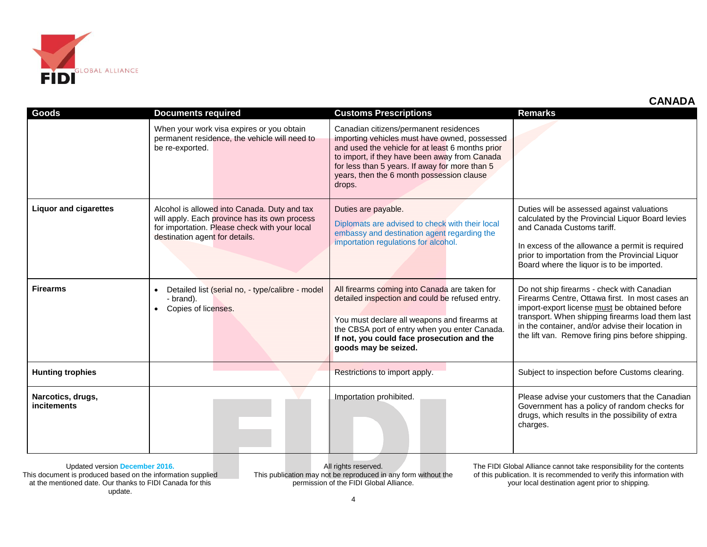

| Goods                                   | <b>Documents required</b>                                                                                                                                                        | <b>Customs Prescriptions</b>                                                                                                                                                                                                                                                                          | <b>Remarks</b>                                                                                                                                                                                                                                                                                               |
|-----------------------------------------|----------------------------------------------------------------------------------------------------------------------------------------------------------------------------------|-------------------------------------------------------------------------------------------------------------------------------------------------------------------------------------------------------------------------------------------------------------------------------------------------------|--------------------------------------------------------------------------------------------------------------------------------------------------------------------------------------------------------------------------------------------------------------------------------------------------------------|
|                                         | When your work visa expires or you obtain<br>permanent residence, the vehicle will need to<br>be re-exported.                                                                    | Canadian citizens/permanent residences<br>importing vehicles must have owned, possessed<br>and used the vehicle for at least 6 months prior<br>to import, if they have been away from Canada<br>for less than 5 years. If away for more than 5<br>years, then the 6 month possession clause<br>drops. |                                                                                                                                                                                                                                                                                                              |
| <b>Liquor and cigarettes</b>            | Alcohol is allowed into Canada. Duty and tax<br>will apply. Each province has its own process<br>for importation. Please check with your local<br>destination agent for details. | Duties are payable.<br>Diplomats are advised to check with their local<br>embassy and destination agent regarding the<br>importation regulations for alcohol.                                                                                                                                         | Duties will be assessed against valuations<br>calculated by the Provincial Liquor Board levies<br>and Canada Customs tariff.<br>In excess of the allowance a permit is required<br>prior to importation from the Provincial Liquor<br>Board where the liquor is to be imported.                              |
| <b>Firearms</b>                         | Detailed list (serial no, - type/calibre - model<br>- brand).<br>Copies of licenses.                                                                                             | All firearms coming into Canada are taken for<br>detailed inspection and could be refused entry.<br>You must declare all weapons and firearms at<br>the CBSA port of entry when you enter Canada.<br>If not, you could face prosecution and the<br>goods may be seized.                               | Do not ship firearms - check with Canadian<br>Firearms Centre, Ottawa first. In most cases an<br>import-export license must be obtained before<br>transport. When shipping firearms load them last<br>in the container, and/or advise their location in<br>the lift van. Remove firing pins before shipping. |
| <b>Hunting trophies</b>                 |                                                                                                                                                                                  | Restrictions to import apply.                                                                                                                                                                                                                                                                         | Subject to inspection before Customs clearing.                                                                                                                                                                                                                                                               |
| Narcotics, drugs,<br><b>incitements</b> |                                                                                                                                                                                  | Importation prohibited.                                                                                                                                                                                                                                                                               | Please advise your customers that the Canadian<br>Government has a policy of random checks for<br>drugs, which results in the possibility of extra<br>charges.                                                                                                                                               |

This document is produced based on the information supplied at the mentioned date. Our thanks to FIDI Canada for this update.

All rights reserved. This publication may not be reproduced in any form without the permission of the FIDI Global Alliance.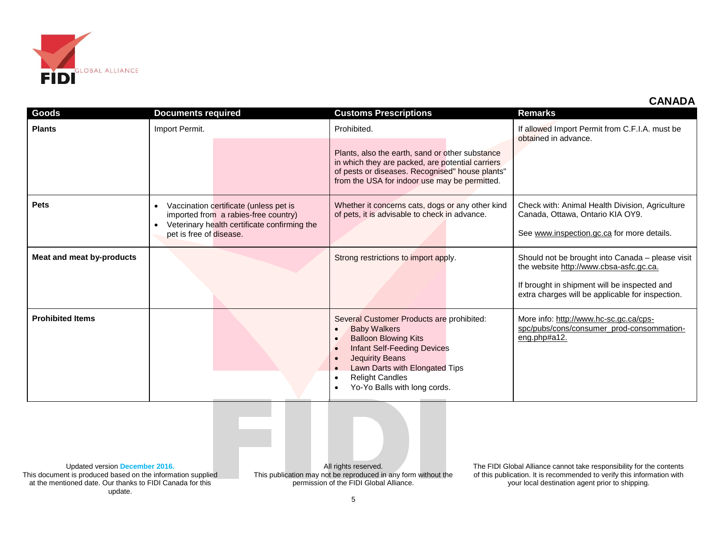

| Goods                     | <b>Documents required</b>                                                                                                                                              | <b>Customs Prescriptions</b>                                                                                                                                                                                                                                | <b>Remarks</b>                                                                                                                                                                                  |
|---------------------------|------------------------------------------------------------------------------------------------------------------------------------------------------------------------|-------------------------------------------------------------------------------------------------------------------------------------------------------------------------------------------------------------------------------------------------------------|-------------------------------------------------------------------------------------------------------------------------------------------------------------------------------------------------|
| <b>Plants</b>             | Import Permit.                                                                                                                                                         | Prohibited.<br>Plants, also the earth, sand or other substance<br>in which they are packed, are potential carriers<br>of pests or diseases. Recognised" house plants"<br>from the USA for indoor use may be permitted.                                      | If allowed Import Permit from C.F.I.A. must be<br>obtained in advance.                                                                                                                          |
| <b>Pets</b>               | Vaccination certificate (unless pet is<br>imported from a rabies-free country)<br>Veterinary health certificate confirming the<br>$\bullet$<br>pet is free of disease. | Whether it concerns cats, dogs or any other kind<br>of pets, it is advisable to check in advance.                                                                                                                                                           | Check with: Animal Health Division, Agriculture<br>Canada, Ottawa, Ontario KIA OY9.<br>See www.inspection.gc.ca for more details.                                                               |
| Meat and meat by-products |                                                                                                                                                                        | Strong restrictions to import apply.                                                                                                                                                                                                                        | Should not be brought into Canada - please visit<br>the website http://www.cbsa-asfc.gc.ca.<br>If brought in shipment will be inspected and<br>extra charges will be applicable for inspection. |
| <b>Prohibited Items</b>   |                                                                                                                                                                        | Several Customer Products are prohibited:<br><b>Baby Walkers</b><br><b>Balloon Blowing Kits</b><br><b>Infant Self-Feeding Devices</b><br><b>Jequirity Beans</b><br>Lawn Darts with Elongated Tips<br><b>Relight Candles</b><br>Yo-Yo Balls with long cords. | More info: http://www.hc-sc.gc.ca/cps-<br>spc/pubs/cons/consumer_prod-consommation-<br>eng.php#a12.                                                                                             |
|                           |                                                                                                                                                                        |                                                                                                                                                                                                                                                             |                                                                                                                                                                                                 |

This document is produced based on the information supplied at the mentioned date. Our thanks to FIDI Canada for this update.

All rights reserved. This publication may not be reproduced in any form without the permission of the FIDI Global Alliance.